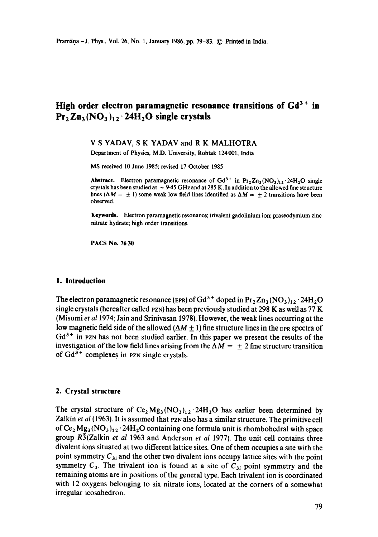# High order electron paramagnetic resonance transitions of Gd<sup>3+</sup> in Pr<sub>2</sub> Zn<sub>3</sub> (NO<sub>3</sub>)<sub>12</sub> · 24H<sub>2</sub>O single crystals

## V S YADAV, S K YADAV and R K MALHOTRA

Department of Physics, M.D. University, Rohtak 124001, India

MS received 10 June 1985; revised 17 October 1985

**Abstract.** Electron paramagnetic resonance of  $Gd^{3+}$  in  $Pr_2Zn_3(NO_3)_{12}.24H_2O$  single crystals has been studied at  $\sim$  9.45 GHz and at 285 K. In addition to the allowed fine structure lines ( $\Delta M = \pm 1$ ) some weak low field lines identified as  $\Delta M = \pm 2$  transitions have been observed.

**Keywords.** Electron paramagnetic resonance; trivalent gadolinium ion; praseodymium zinc nitrate hydrate; high order transitions.

PACS No. 76.30

#### **1. Introduction**

The electron paramagnetic resonance (EPR) of  $Gd^{3+}$  doped in  $Pr_2 Zn_3 (NO_3)_{12} \cdot 24H_2O$ single crystals (hereafter called pzN) has been previously studied at 298 K as well as 77 K (Misumi *et al* 1974; Jain and Srinivasan 1978). However, the weak lines occurring at the low magnetic field side of the allowed  $(\Delta M \pm 1)$  fine structure lines in the EPR spectra of  $Gd^{3+}$  in PZN has not been studied earlier. In this paper we present the results of the investigation of the low field lines arising from the  $\Delta M = \pm 2$  fine structure transition of  $Gd^{3+}$  complexes in pzw single crystals.

## **2. Crystal structure**

The crystal structure of  $Ce<sub>2</sub>Mg<sub>3</sub>(NO<sub>3</sub>)<sub>12</sub>·24H<sub>2</sub>O$  has earlier been determined by Zalkin *et al* (1963). It is assumed that pzw also has a similar structure. The primitive cell of  $Ce_2 Mg_3 (NO_3)_{12} \cdot 24H_2O$  containing one formula unit is rhombohedral with space group R<sup>3</sup>(Zalkin *et al* 1963 and Anderson *et al* 1977). The unit cell contains three divalent ions situated at two different lattice sites. One of them occupies a site with the point symmetry  $C_{3i}$  and the other two divalent ions occupy lattice sites with the point symmetry  $C_3$ . The trivalent ion is found at a site of  $C_{3i}$  point symmetry and the remaining atoms are in positions of the general type. Each trivalent ion is coordinated with 12 oxygens belonging to six nitrate ions, located at the corners of a somewhat irregular icosahedron.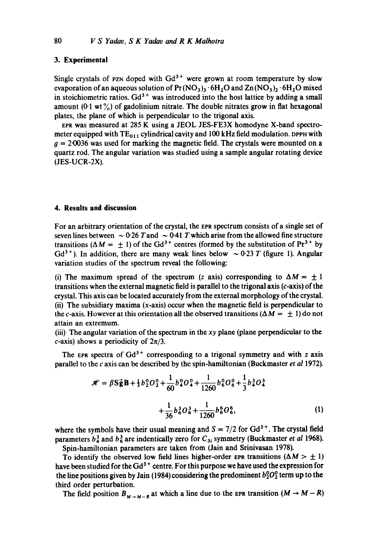#### **3. Experimental**

Single crystals of  $PZN$  doped with  $Gd<sup>3+</sup>$  were grown at room temperature by slow evaporation of an aqueous solution of  $Pr(NO<sub>3</sub>)<sub>3</sub>·6H<sub>2</sub>O$  and  $Zn(NO<sub>3</sub>)<sub>2</sub>·6H<sub>2</sub>O$  mixed in stoichiometric ratios.  $Gd^{3+}$  was introduced into the host lattice by adding a small amount  $(0.1 \text{ wt})$  of gadolinium nitrate. The double nitrates grow in flat hexagonal plates, the plane of which is perpendicular to the trigonal axis.

EPR was measured at 285 K using a JEOL JES-FE3X homodyne X-band spectrometer equipped with  $TE_{011}$  cylindrical cavity and 100 kHz field modulation. DPPH with  $g = 2.0036$  was used for marking the magnetic field. The crystals were mounted on a quartz rod. The angular variation was studied using a sample angular rotating device (JES-UCR-2X).

### **4. Results and discussion**

For an arbitrary orientation of the crystal, the EPR spectrum consists of a single set of seven lines between  $\sim 0.26$  T and  $\sim 0.41$  T which arise from the allowed fine structure transitions ( $\Delta M = \pm 1$ ) of the Gd<sup>3+</sup> centres (formed by the substitution of Pr<sup>3+</sup> by Gd<sup>3+</sup>). In addition, there are many weak lines below  $\sim 0.23$  T (figure 1). Angular variation studies of the spectrum reveal the following:

(i) The maximum spread of the spectrum (z axis) corresponding to  $\Delta M = \pm 1$ transitions when the external magnetic field is parallel to the trigonal axis (c-axis) of the crystal. This axis can be located accurately from the external morphology of the crystal. (ii) The subsidiary maxima  $(x-axis)$  occur when the magnetic field is perpendicular to the c-axis. However at this orientation all the observed transitions ( $\Delta M = \pm 1$ ) do not attain an extremum.

(iii) The angular variation of the spectrum in the *xy* plane (plane perpendicular to the c-axis) shows a periodicity of *2n/3.* 

The EPR spectra of  $Gd^{3+}$  corresponding to a trigonal symmetry and with z axis parallel to the c axis can be described by the spin-hamiltonian (Buckmaster *et ai* 1972).

$$
\mathcal{H} = \beta S \vec{g} B + \frac{1}{3} b_2^0 O_2^0 + \frac{1}{60} b_4^0 O_4^0 + \frac{1}{1260} b_6^0 O_6^0 + \frac{1}{3} b_4^3 O_4^3
$$
  
+ 
$$
\frac{1}{36} b_6^3 O_6^3 + \frac{1}{1260} b_6^6 O_6^6,
$$
 (1)

where the symbols have their usual meaning and  $S = 7/2$  for  $Gd^{3+}$ . The crystal field parameters  $b<sub>4</sub><sup>3</sup>$  and  $b<sub>6</sub><sup>3</sup>$  are indentically zero for  $C<sub>3i</sub>$  symmetry (Buckmaster *et al* 1968). Spin-hamiltonian parameters are taken from (Jain and Srinivasan 1978).

To identify the observed low field lines higher-order EPR transitions ( $\Delta M > \pm 1$ ) have been studied for the Gd<sup>3+</sup> centre. For this purpose we have used the expression for the line positions given by Jain (1984) considering the predominent  $b_2^0O_2^0$  term up to the third order perturbation.

The field position  $B_{M \to M-R}$  at which a line due to the EPR transition  $(M \to M-R)$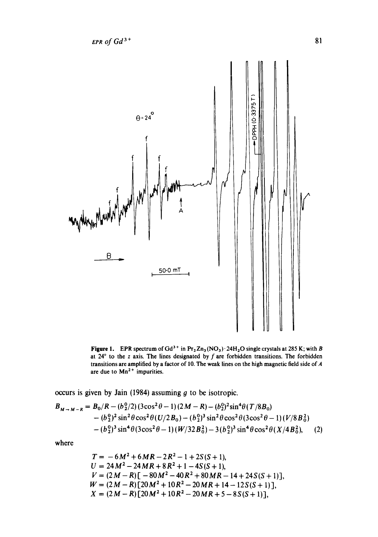

Figure 1. EPR spectrum of  $Gd^3$ <sup>+</sup> in Pr<sub>2</sub>Zn<sub>3</sub> (NO<sub>3</sub>)  $\cdot$  24H<sub>2</sub>O single crystals at 285 K; with B at  $24^{\circ}$  to the z axis. The lines designated by f are forbidden transitions. The forbidden transitions are amplified by a factor of 10. The weak lines on the high magnetic field side of A are due to  $Mn^{2+}$  impurities.

occurs is given by Jain (1984) assuming  $g$  to be isotropic.

 $\overline{a}$ 

$$
B_{M \to M-R} = B_0/R - (b_2^0/2)(3\cos^2\theta - 1)(2M - R) - (b_2^0)^2 \sin^4\theta (T/8B_0)
$$
  
-  $(b_2^0)^2 \sin^2\theta \cos^2\theta (U/2B_0) - (b_2^0)^3 \sin^2\theta \cos^2\theta (3\cos^2\theta - 1)(V/8B_0^2)$   
-  $(b_2^0)^3 \sin^4\theta (3\cos^2\theta - 1)(W/32B_0^2) - 3(b_2^0)^3 \sin^4\theta \cos^2\theta (X/4B_0^2)$ , (2)

where

$$
T = -6M^2 + 6MR - 2R^2 - 1 + 2S(S + 1),
$$
  
\n
$$
U = 24M^2 - 24MR + 8R^2 + 1 - 4S(S + 1),
$$
  
\n
$$
V = (2M - R)[-80M^2 - 40R^2 + 80MR - 14 + 24S(S + 1)],
$$
  
\n
$$
W = (2M - R)[20M^2 + 10R^2 - 20MR + 14 - 12S(S + 1)],
$$
  
\n
$$
X = (2M - R)[20M^2 + 10R^2 - 20MR + 5 - 8S(S + 1)],
$$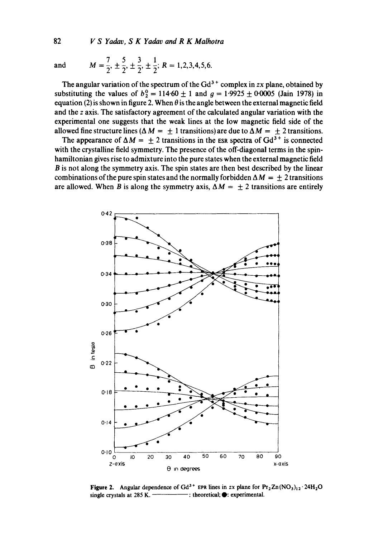**82** *V S Yadav, S K Yadav and R K Malhotra* 

and 
$$
M = \frac{7}{2}, \pm \frac{5}{2}, \pm \frac{3}{2}, \pm \frac{1}{2}; R = 1, 2, 3, 4, 5, 6.
$$

The angular variation of the spectrum of the  $Gd^{3+}$  complex in *zx* plane, obtained by substituting the values of  $b_2^0 = 114.60 \pm 1$  and  $g = 1.9925 \pm 0.0005$  (Jain 1978) in equation (2) is shown in figure 2. When  $\theta$  is the angle between the external magnetic field **and the z axis. The satisfactory agreement of the calculated angular variation with the experimental one suggests that the weak lines at the low magnetic field side of the**  allowed fine structure lines ( $\Delta M = \pm 1$  transitions) are due to  $\Delta M = \pm 2$  transitions.

The appearance of  $\Delta M = \pm 2$  transitions in the ESR spectra of Gd<sup>3+</sup> is connected **with the crystalline field symmetry. The presence of the off-diagonal terms in the spinhamiltonian gives rise to admixture into the pure states when the external magnetic field B is not along the symmetry axis. The spin states are then best described by the linear**  combinations of the pure spin states and the normally forbidden  $\Delta M = \pm 2$  transitions are allowed. When B is along the symmetry axis,  $\Delta M = \pm 2$  transitions are entirely



**Figure 2.** Angular dependence of  $Gd^{3+}$  EPR lines in zx plane for  $Pr_2 Zn (NO_3)_{12} \cdot 24H_2O$ single crystals at 285 K. ——————————: theoretical;  $\bullet$ : experimental.